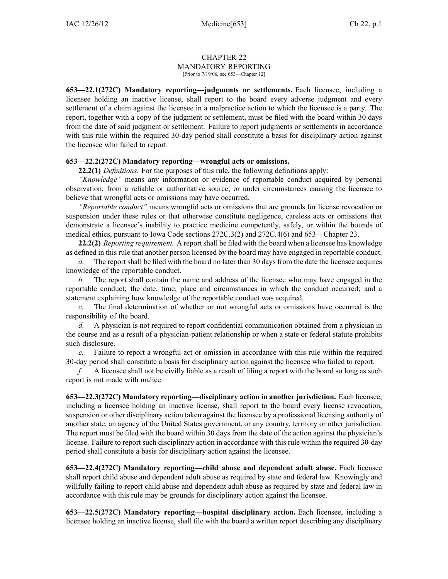## CHAPTER 22 MANDATORY REPORTING [Prior to 7/19/06, see 653—Chapter 12]

**653—22.1(272C) Mandatory reporting—judgments or settlements.** Each licensee, including <sup>a</sup> licensee holding an inactive license, shall repor<sup>t</sup> to the board every adverse judgment and every settlement of <sup>a</sup> claim against the licensee in <sup>a</sup> malpractice action to which the licensee is <sup>a</sup> party. The report, together with <sup>a</sup> copy of the judgment or settlement, must be filed with the board within 30 days from the date of said judgment or settlement. Failure to repor<sup>t</sup> judgments or settlements in accordance with this rule within the required 30-day period shall constitute a basis for disciplinary action against the licensee who failed to report.

## **653—22.2(272C) Mandatory reporting—wrongful acts or omissions.**

**22.2(1)** *Definitions.* For the purposes of this rule, the following definitions apply:

*"Knowledge"* means any information or evidence of reportable conduct acquired by personal observation, from <sup>a</sup> reliable or authoritative source, or under circumstances causing the licensee to believe that wrongful acts or omissions may have occurred.

*"Reportable conduct"* means wrongful acts or omissions that are grounds for license revocation or suspension under these rules or that otherwise constitute negligence, careless acts or omissions that demonstrate <sup>a</sup> licensee's inability to practice medicine competently, safely, or within the bounds of medical ethics, pursuan<sup>t</sup> to Iowa Code sections 272C.3(2) and 272C.4(6) and 653—Chapter 23.

**22.2(2)** *Reporting requirement.* A reportshall be filed with the board when <sup>a</sup> licensee has knowledge as defined in this rule that another person licensed by the board may have engaged in reportable conduct.

*a.* The repor<sup>t</sup> shall be filed with the board no later than 30 days from the date the licensee acquires knowledge of the reportable conduct.

*b.* The repor<sup>t</sup> shall contain the name and address of the licensee who may have engaged in the reportable conduct; the date, time, place and circumstances in which the conduct occurred; and <sup>a</sup> statement explaining how knowledge of the reportable conduct was acquired.

*c.* The final determination of whether or not wrongful acts or omissions have occurred is the responsibility of the board.

*d.* A physician is not required to repor<sup>t</sup> confidential communication obtained from <sup>a</sup> physician in the course and as <sup>a</sup> result of <sup>a</sup> physician-patient relationship or when <sup>a</sup> state or federal statute prohibits such disclosure.

*e.* Failure to repor<sup>t</sup> <sup>a</sup> wrongful act or omission in accordance with this rule within the required 30-day period shall constitute <sup>a</sup> basis for disciplinary action against the licensee who failed to report.

*f.* A licensee shall not be civilly liable as a result of filing a report with the board so long as such repor<sup>t</sup> is not made with malice.

**653—22.3(272C) Mandatory reporting—disciplinary action in another jurisdiction.** Each licensee, including <sup>a</sup> licensee holding an inactive license, shall repor<sup>t</sup> to the board every license revocation, suspension or other disciplinary action taken against the licensee by <sup>a</sup> professional licensing authority of another state, an agency of the United States government, or any country, territory or other jurisdiction. The repor<sup>t</sup> must be filed with the board within 30 days from the date of the action against the physician's license. Failure to repor<sup>t</sup> such disciplinary action in accordance with this rule within the required 30-day period shall constitute <sup>a</sup> basis for disciplinary action against the licensee.

**653—22.4(272C) Mandatory reporting—child abuse and dependent adult abuse.** Each licensee shall repor<sup>t</sup> child abuse and dependent adult abuse as required by state and federal law. Knowingly and willfully failing to repor<sup>t</sup> child abuse and dependent adult abuse as required by state and federal law in accordance with this rule may be grounds for disciplinary action against the licensee.

**653—22.5(272C) Mandatory reporting—hospital disciplinary action.** Each licensee, including <sup>a</sup> licensee holding an inactive license, shall file with the board <sup>a</sup> written repor<sup>t</sup> describing any disciplinary